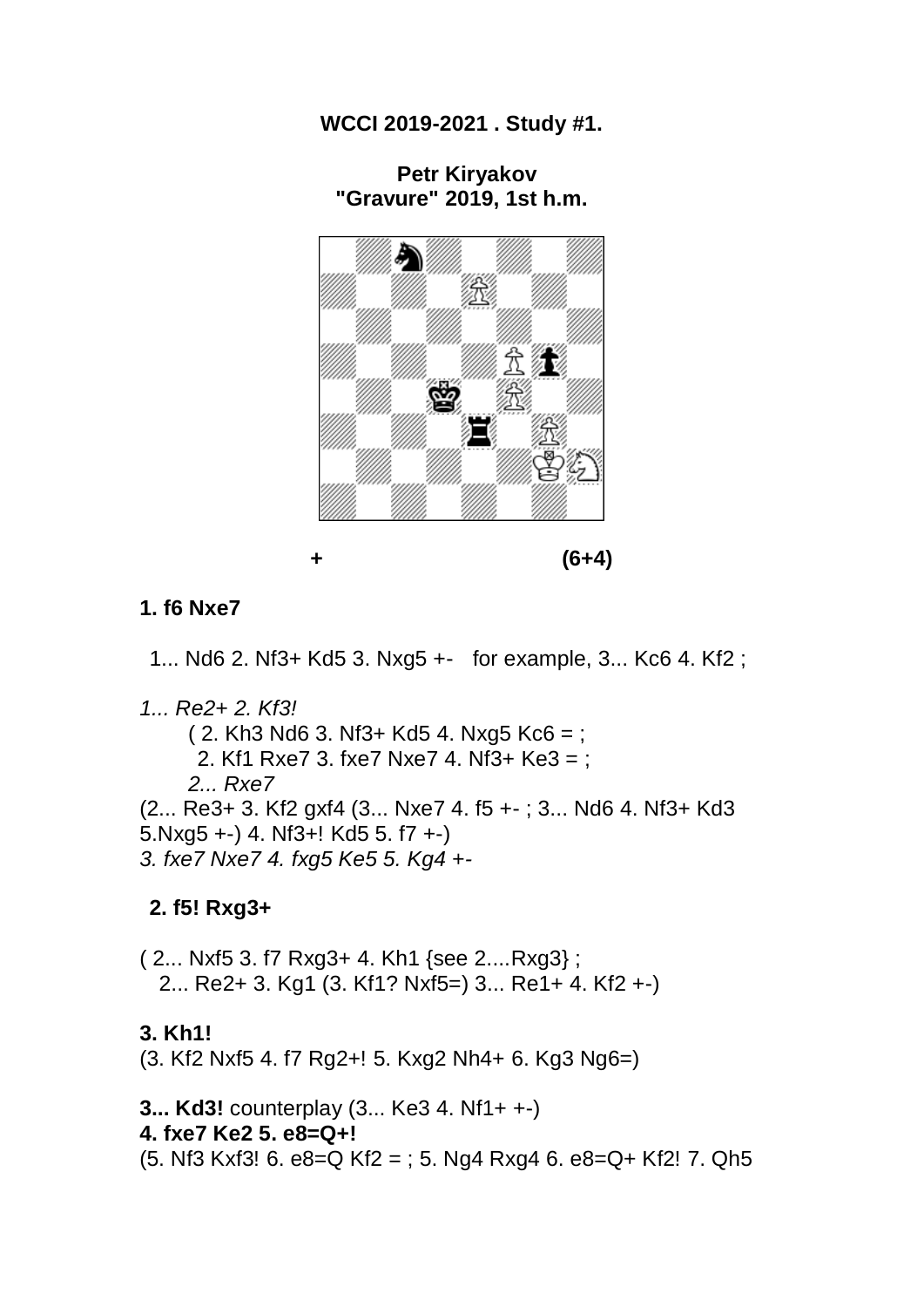**WCCI 2019-2021 . Study #1.**

**Petr Kiryakov "Gravure" 2019, 1st h.m.**



**+ (6+4)**

### **1. f6 Nxe7**

1... Nd6 2. Nf3+ Kd5 3. Nxg5 +- for example, 3... Kc6 4. Kf2 ;

*1... Re2+ 2. Kf3!* 

 $( 2. Kh3 Nd6 3. Nf3+ Kd5 4. Nxq5 Kc6 = ;$  2. Kf1 Rxe7 3. fxe7 Nxe7 4. Nf3+ Ke3 = ; *2... Rxe7* (2... Re3+ 3. Kf2 gxf4 (3... Nxe7 4. f5 +- ; 3... Nd6 4. Nf3+ Kd3 5.Nxg5 +-) 4. Nf3+! Kd5 5. f7 +-)

*3. fxe7 Nxe7 4. fxg5 Ke5 5. Kg4 +-*

### **2. f5! Rxg3+**

( 2... Nxf5 3. f7 Rxg3+ 4. Kh1 {see 2....Rxg3} ; 2... Re2+ 3. Kg1 (3. Kf1? Nxf5=) 3... Re1+ 4. Kf2 +-)

### **3. Kh1!**

(3. Kf2 Nxf5 4. f7 Rg2+! 5. Kxg2 Nh4+ 6. Kg3 Ng6=)

**3... Kd3!** counterplay (3... Ke3 4. Nf1+ +-) **4. fxe7 Ke2 5. e8=Q+!**  (5. Nf3 Kxf3! 6. e8=Q Kf2 = ; 5. Ng4 Rxg4 6. e8=Q+ Kf2! 7. Qh5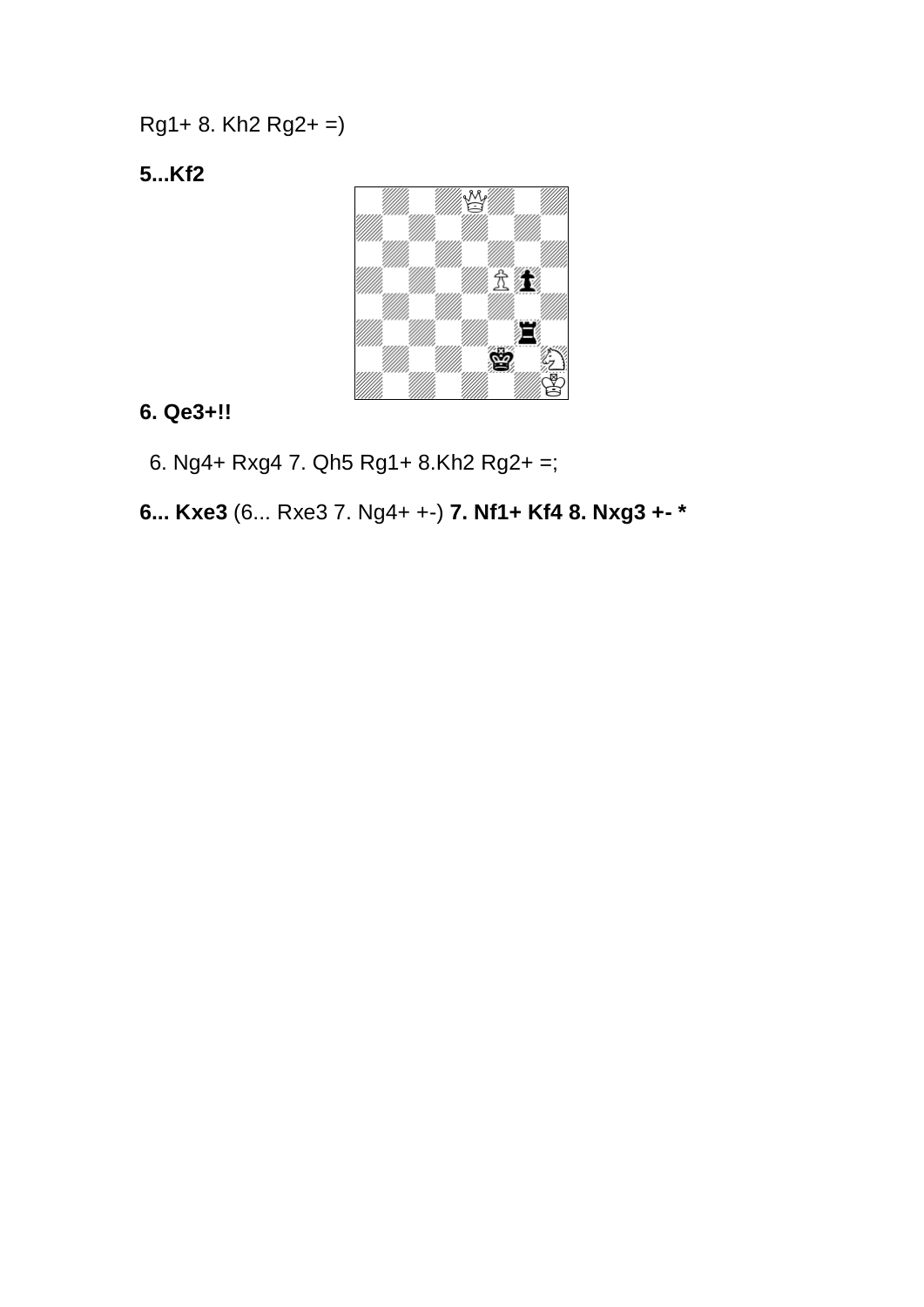$Rg1 + 8$ . Kh<sub>2</sub>  $Rg2 + =)$ 

**5...Kf2**



# **6. Qe3+!!**

- 6. Ng4+ Rxg4 7. Qh5 Rg1+ 8.Kh2 Rg2+ =;
- **6... Kxe3** (6... Rxe3 7. Ng4+ +-) **7. Nf1+ Kf4 8. Nxg3 +- \***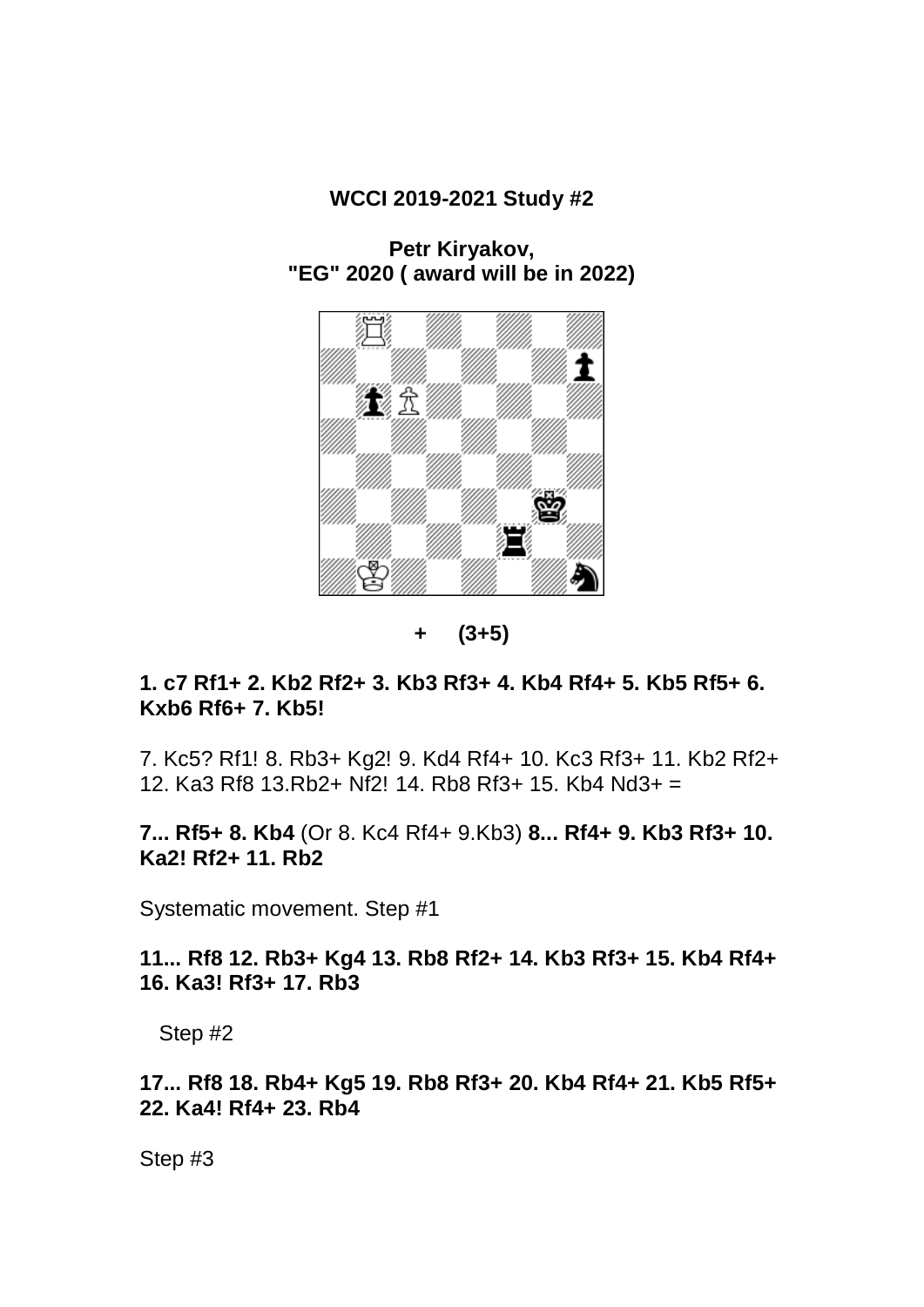## **WCCI 2019-2021 Study #2**

**Petr Kiryakov, "EG" 2020 ( award will be in 2022)**



**+ (3+5)**

**1. c7 Rf1+ 2. Kb2 Rf2+ 3. Kb3 Rf3+ 4. Kb4 Rf4+ 5. Kb5 Rf5+ 6. Kxb6 Rf6+ 7. Kb5!**

7. Kc5? Rf1! 8. Rb3+ Kg2! 9. Kd4 Rf4+ 10. Kc3 Rf3+ 11. Kb2 Rf2+ 12. Ka3 Rf8 13.Rb2+ Nf2! 14. Rb8 Rf3+ 15. Kb4 Nd3+ =

**7... Rf5+ 8. Kb4** (Or 8. Kc4 Rf4+ 9.Kb3) **8... Rf4+ 9. Kb3 Rf3+ 10. Ka2! Rf2+ 11. Rb2**

Systematic movement. Step #1

**11... Rf8 12. Rb3+ Kg4 13. Rb8 Rf2+ 14. Kb3 Rf3+ 15. Kb4 Rf4+ 16. Ka3! Rf3+ 17. Rb3**

Step #2

**17... Rf8 18. Rb4+ Kg5 19. Rb8 Rf3+ 20. Kb4 Rf4+ 21. Kb5 Rf5+ 22. Ka4! Rf4+ 23. Rb4**

Step #3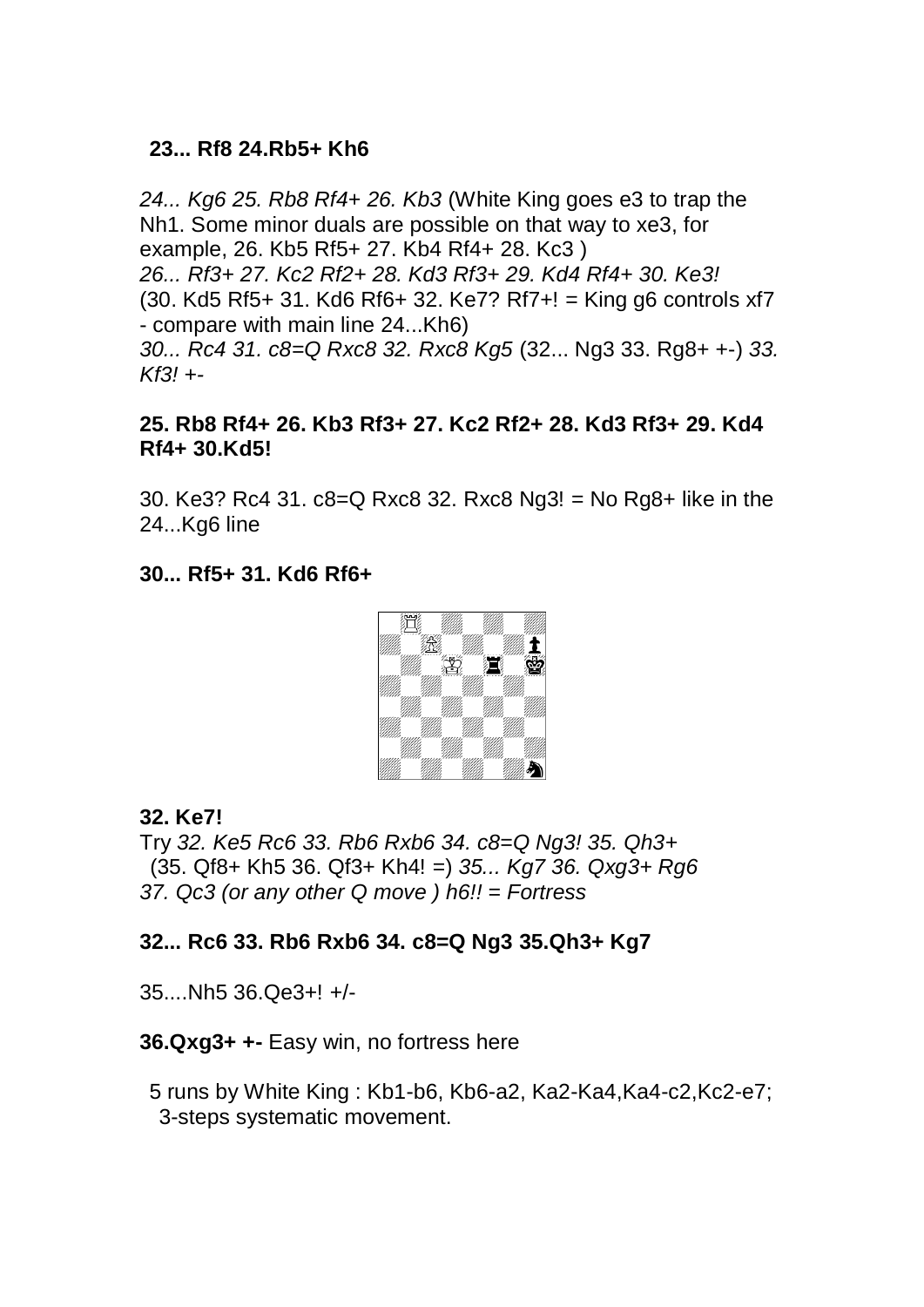# **23... Rf8 24.Rb5+ Kh6**

*24... Kg6 25. Rb8 Rf4+ 26. Kb3* (White King goes e3 to trap the Nh1. Some minor duals are possible on that way to xe3, for example, 26. Kb5 Rf5+ 27. Kb4 Rf4+ 28. Kc3 ) *26... Rf3+ 27. Kc2 Rf2+ 28. Kd3 Rf3+ 29. Kd4 Rf4+ 30. Ke3!* (30. Kd5 Rf5+ 31. Kd6 Rf6+ 32. Ke7? Rf7+! = King g6 controls xf7 - compare with main line 24...Kh6) *30... Rc4 31. c8=Q Rxc8 32. Rxc8 Kg5* (32... Ng3 33. Rg8+ +-) *33. Kf3! +-*

# **25. Rb8 Rf4+ 26. Kb3 Rf3+ 27. Kc2 Rf2+ 28. Kd3 Rf3+ 29. Kd4 Rf4+ 30.Kd5!**

30. Ke3? Rc4 31. c8=Q Rxc8 32. Rxc8 Ng3! = No Rg8+ like in the 24...Kg6 line

# **30... Rf5+ 31. Kd6 Rf6+**



## **32. Ke7!**

Try *32. Ke5 Rc6 33. Rb6 Rxb6 34. c8=Q Ng3! 35. Qh3+* (35. Qf8+ Kh5 36. Qf3+ Kh4! =) *35... Kg7 36. Qxg3+ Rg6 37. Qc3 (or any other Q move ) h6!! = Fortress*

# **32... Rc6 33. Rb6 Rxb6 34. c8=Q Ng3 35.Qh3+ Kg7**

35....Nh5 36.Qe3+! +/-

**36.Qxg3+ +-** Easy win, no fortress here

5 runs by White King : Kb1-b6, Kb6-a2, Ka2-Ka4,Ka4-c2,Kc2-e7; 3-steps systematic movement.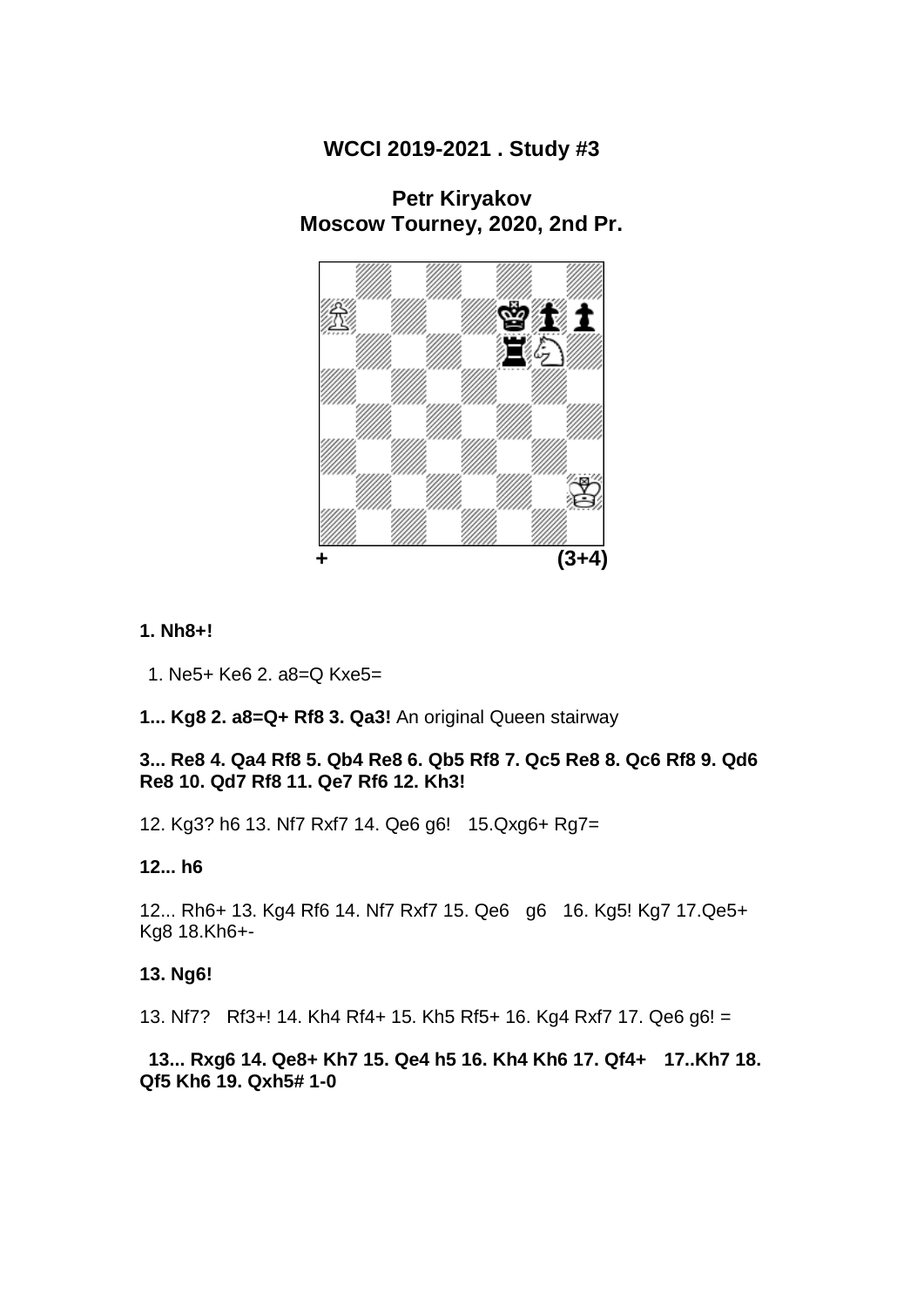**WCCI 2019-2021 . Study #3**

**Petr Kiryakov Moscow Tourney, 2020, 2nd Pr.**



#### **1. Nh8+!**

- 1. Ne5+ Ke6 2. a8=Q Kxe5=
- **1... Kg8 2. a8=Q+ Rf8 3. Qa3!** An original Queen stairway

#### **3... Re8 4. Qa4 Rf8 5. Qb4 Re8 6. Qb5 Rf8 7. Qc5 Re8 8. Qc6 Rf8 9. Qd6 Re8 10. Qd7 Rf8 11. Qe7 Rf6 12. Kh3!**

12. Kg3? h6 13. Nf7 Rxf7 14. Qe6 g6! 15.Qxg6+ Rg7=

#### **12... h6**

12... Rh6+ 13. Kg4 Rf6 14. Nf7 Rxf7 15. Qe6 g6 16. Kg5! Kg7 17.Qe5+ Kg8 18.Kh6+-

#### **13. Ng6!**

13. Nf7? Rf3+! 14. Kh4 Rf4+ 15. Kh5 Rf5+ 16. Kg4 Rxf7 17. Qe6 g6! =

**13... Rxg6 14. Qe8+ Kh7 15. Qe4 h5 16. Kh4 Kh6 17. Qf4+ 17..Kh7 18. Qf5 Kh6 19. Qxh5# 1-0**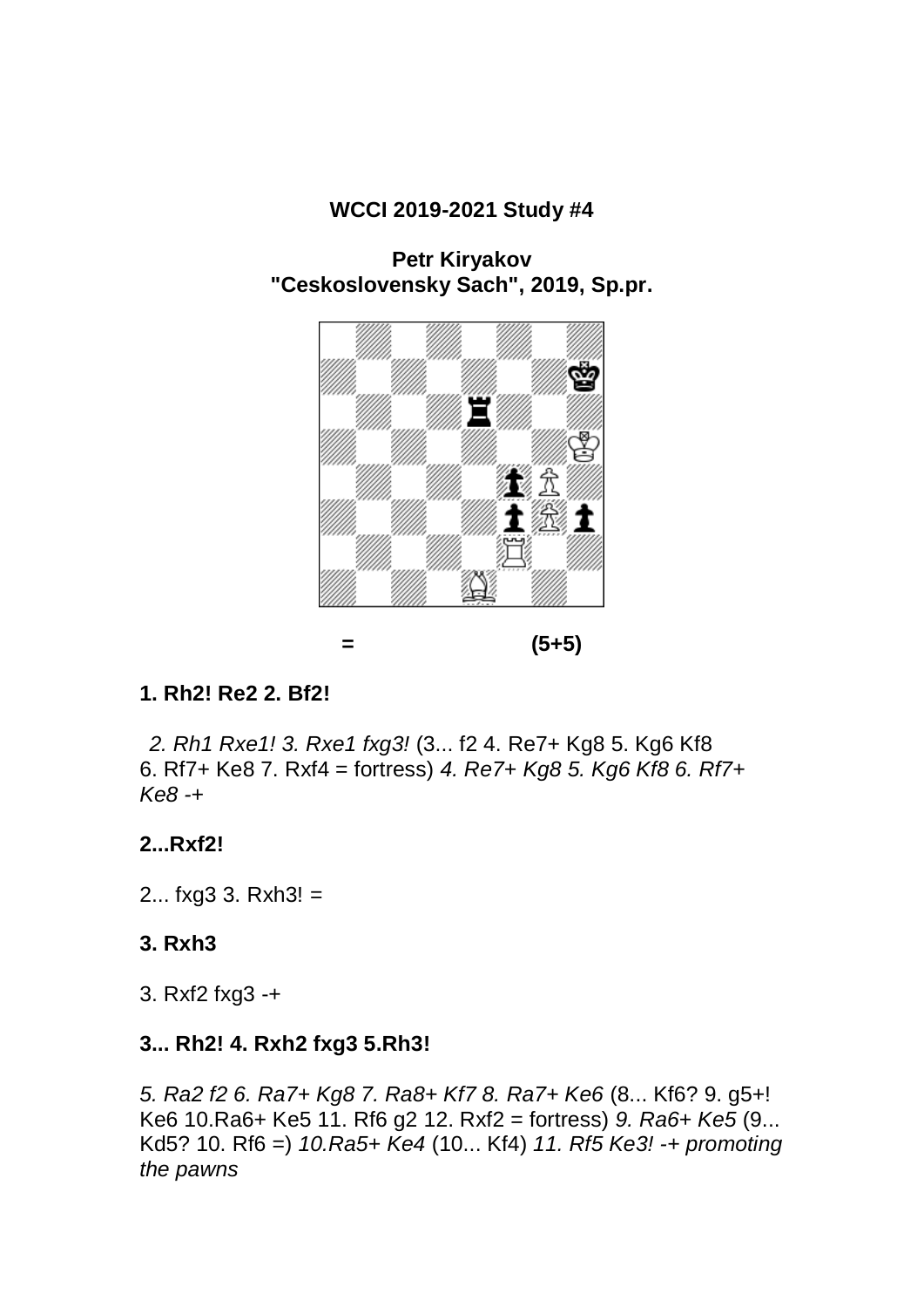## **WCCI 2019-2021 Study #4**

**Petr Kiryakov "Ceskoslovensky Sach", 2019, Sp.pr.**



**= (5+5)**

### **1. Rh2! Re2 2. Bf2!**

*2. Rh1 Rxe1! 3. Rxe1 fxg3!* (3... f2 4. Re7+ Kg8 5. Kg6 Kf8 6. Rf7+ Ke8 7. Rxf4 = fortress) *4. Re7+ Kg8 5. Kg6 Kf8 6. Rf7+ Ke8 -+*

### **2...Rxf2!**

2...  $f$ xg $3$  3. Rxh $3!$  =

### **3. Rxh3**

3. Rxf2 fxg3 -+

## **3... Rh2! 4. Rxh2 fxg3 5.Rh3!**

*5. Ra2 f2 6. Ra7+ Kg8 7. Ra8+ Kf7 8. Ra7+ Ke6* (8... Kf6? 9. g5+! Ke6 10.Ra6+ Ke5 11. Rf6 g2 12. Rxf2 = fortress) *9. Ra6+ Ke5* (9... Kd5? 10. Rf6 =) *10.Ra5+ Ke4* (10... Kf4) *11. Rf5 Ke3! -+ promoting the pawns*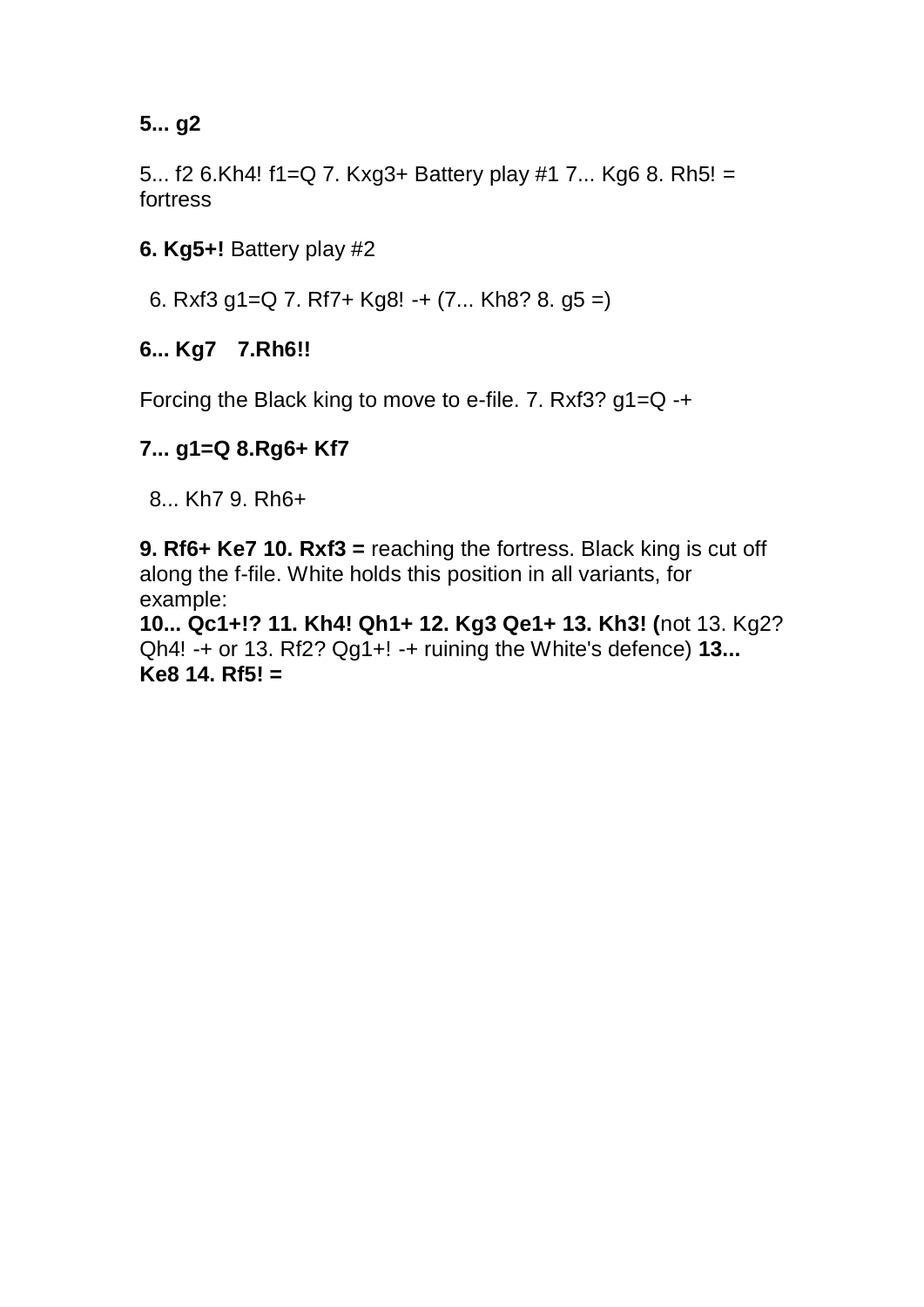# **5... g2**

5... f2 6.Kh4! f1=Q 7. Kxg3+ Battery play #1 7... Kg6 8. Rh5! = fortress

# **6. Kg5+!** Battery play #2

6. Rxf3 g1=Q 7. Rf7+ Kg8! -+  $(7...$  Kh8? 8. g5 =)

# **6... Kg7 7.Rh6!!**

Forcing the Black king to move to e-file. 7. Rxf3? g1=Q -+

# **7... g1=Q 8.Rg6+ Kf7**

8... Kh7 9. Rh6+

**9. Rf6+ Ke7 10. Rxf3 =** reaching the fortress. Black king is cut off along the f-file. White holds this position in all variants, for example:

**10... Qc1+!? 11. Kh4! Qh1+ 12. Kg3 Qe1+ 13. Kh3! (**not 13. Kg2? Qh4! -+ or 13. Rf2? Qg1+! -+ ruining the White's defence) **13... Ke8 14. Rf5! =**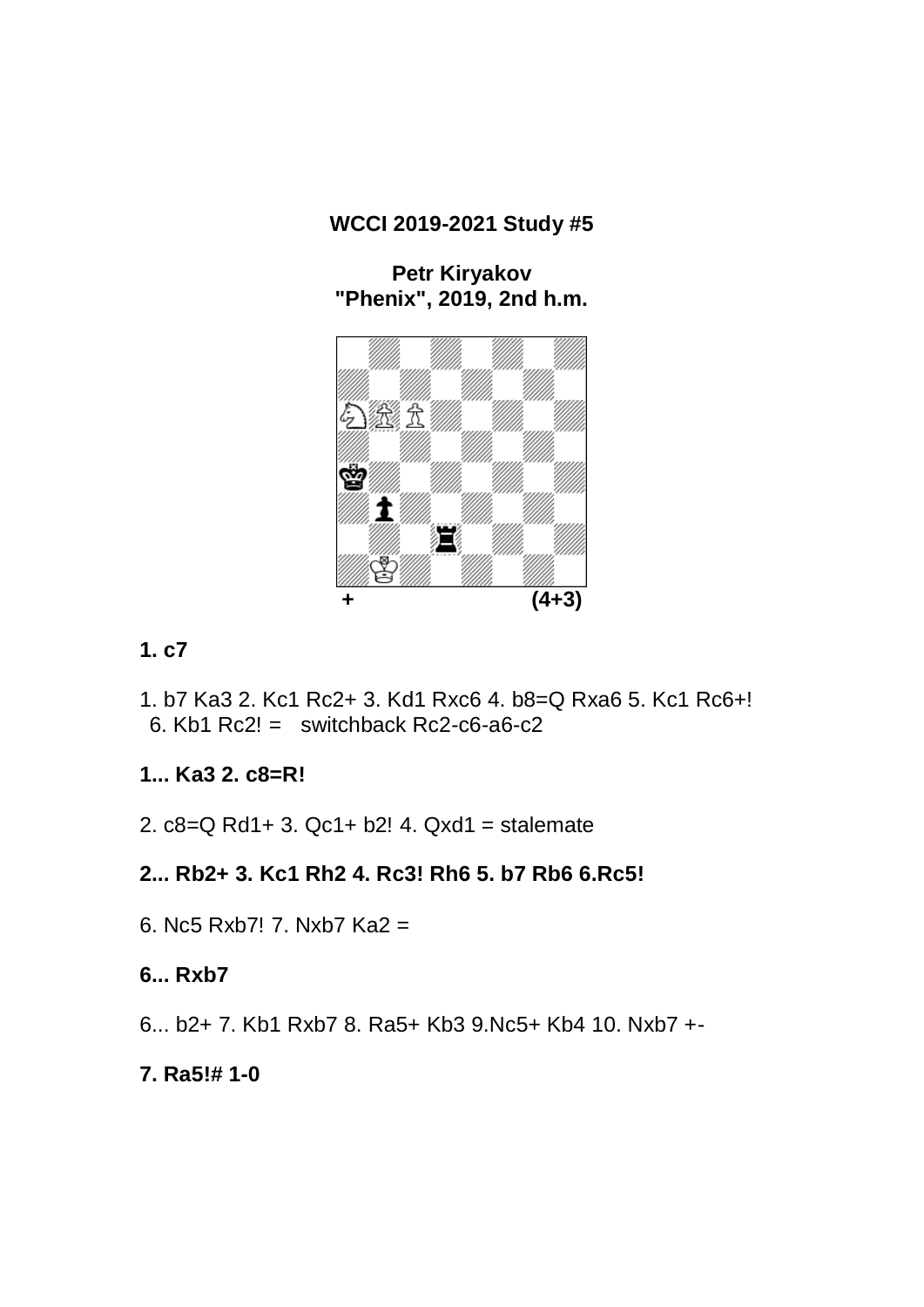## **WCCI 2019-2021 Study #5**

**Petr Kiryakov "Phenix", 2019, 2nd h.m.**



# **1. c7**

- 1. b7 Ka3 2. Kc1 Rc2+ 3. Kd1 Rxc6 4. b8=Q Rxa6 5. Kc1 Rc6+! 6. Kb1 Rc2! = switchback Rc2-c6-a6-c2
- **1... Ka3 2. c8=R!**
- 2. c8=Q Rd1+ 3. Qc1+ b2! 4. Qxd1 = stalemate

### **2... Rb2+ 3. Kc1 Rh2 4. Rc3! Rh6 5. b7 Rb6 6.Rc5!**

6. Nc5 Rxb7! 7. Nxb7 Ka2 =

### **6... Rxb7**

6... b2+ 7. Kb1 Rxb7 8. Ra5+ Kb3 9.Nc5+ Kb4 10. Nxb7 +-

## **7. Ra5!# 1-0**